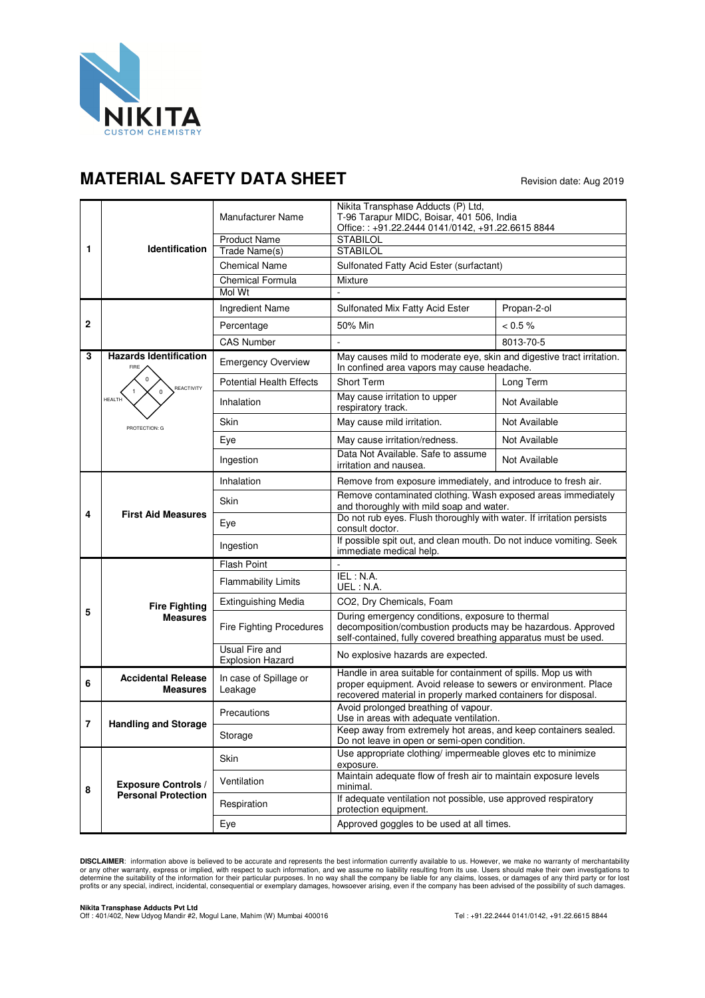

## **MATERIAL SAFETY DATA SHEET** Revision date: Aug 2019

| 1 | Identification                                           | Manufacturer Name                         | Nikita Transphase Adducts (P) Ltd,<br>T-96 Tarapur MIDC, Boisar, 401 506, India<br>Office:: +91.22.2444 0141/0142, +91.22.6615 8844                                                                 |               |
|---|----------------------------------------------------------|-------------------------------------------|-----------------------------------------------------------------------------------------------------------------------------------------------------------------------------------------------------|---------------|
|   |                                                          | <b>Product Name</b>                       | <b>STABILOL</b>                                                                                                                                                                                     |               |
|   |                                                          | Trade Name(s)                             | <b>STABILOL</b>                                                                                                                                                                                     |               |
|   |                                                          | <b>Chemical Name</b>                      | Sulfonated Fatty Acid Ester (surfactant)                                                                                                                                                            |               |
|   |                                                          | <b>Chemical Formula</b><br>Mol Wt         | Mixture                                                                                                                                                                                             |               |
|   |                                                          |                                           |                                                                                                                                                                                                     |               |
| 2 |                                                          | Ingredient Name                           | Sulfonated Mix Fatty Acid Ester                                                                                                                                                                     | Propan-2-ol   |
|   |                                                          | Percentage                                | 50% Min                                                                                                                                                                                             | $< 0.5 \%$    |
|   |                                                          | <b>CAS Number</b>                         |                                                                                                                                                                                                     | 8013-70-5     |
| 3 | <b>Hazards Identification</b><br>FIRE                    | <b>Emergency Overview</b>                 | May causes mild to moderate eye, skin and digestive tract irritation.<br>In confined area vapors may cause headache.                                                                                |               |
|   | REACTIVITY                                               | <b>Potential Health Effects</b>           | Short Term                                                                                                                                                                                          | Long Term     |
|   | $\Omega$<br><b>HEALTH</b>                                | Inhalation                                | May cause irritation to upper<br>respiratory track.                                                                                                                                                 | Not Available |
|   | PROTECTION: G                                            | Skin                                      | May cause mild irritation.                                                                                                                                                                          | Not Available |
|   |                                                          | Eye                                       | May cause irritation/redness.                                                                                                                                                                       | Not Available |
|   |                                                          | Ingestion                                 | Data Not Available. Safe to assume<br>irritation and nausea.                                                                                                                                        | Not Available |
| 4 | <b>First Aid Measures</b>                                | Inhalation                                | Remove from exposure immediately, and introduce to fresh air.                                                                                                                                       |               |
|   |                                                          | Skin                                      | Remove contaminated clothing. Wash exposed areas immediately<br>and thoroughly with mild soap and water.                                                                                            |               |
|   |                                                          | Eye                                       | Do not rub eyes. Flush thoroughly with water. If irritation persists<br>consult doctor.                                                                                                             |               |
|   |                                                          | Ingestion                                 | If possible spit out, and clean mouth. Do not induce vomiting. Seek<br>immediate medical help.                                                                                                      |               |
| 5 | <b>Fire Fighting</b><br><b>Measures</b>                  | <b>Flash Point</b>                        |                                                                                                                                                                                                     |               |
|   |                                                          | <b>Flammability Limits</b>                | IEL : N.A.<br>UEL: N.A.                                                                                                                                                                             |               |
|   |                                                          | <b>Extinguishing Media</b>                | CO2, Dry Chemicals, Foam                                                                                                                                                                            |               |
|   |                                                          | <b>Fire Fighting Procedures</b>           | During emergency conditions, exposure to thermal<br>decomposition/combustion products may be hazardous. Approved<br>self-contained, fully covered breathing apparatus must be used.                 |               |
|   |                                                          | Usual Fire and<br><b>Explosion Hazard</b> | No explosive hazards are expected.                                                                                                                                                                  |               |
| 6 | <b>Accidental Release</b><br><b>Measures</b>             | In case of Spillage or<br>Leakage         | Handle in area suitable for containment of spills. Mop us with<br>proper equipment. Avoid release to sewers or environment. Place<br>recovered material in properly marked containers for disposal. |               |
|   | <b>Handling and Storage</b>                              | Precautions                               | Avoid prolonged breathing of vapour.<br>Use in areas with adequate ventilation.                                                                                                                     |               |
| 7 |                                                          | Storage                                   | Keep away from extremely hot areas, and keep containers sealed.<br>Do not leave in open or semi-open condition.                                                                                     |               |
| 8 | <b>Exposure Controls /</b><br><b>Personal Protection</b> | Skin                                      | Use appropriate clothing/ impermeable gloves etc to minimize<br>exposure.                                                                                                                           |               |
|   |                                                          | Ventilation                               | Maintain adequate flow of fresh air to maintain exposure levels<br>minimal.                                                                                                                         |               |
|   |                                                          | Respiration                               | If adequate ventilation not possible, use approved respiratory<br>protection equipment.                                                                                                             |               |
|   |                                                          | Eye                                       | Approved goggles to be used at all times.                                                                                                                                                           |               |

**DISCLAIMER**: information above is believed to be accurate and represents the best information currently available to us. However, we make no warranty of merchantability or any other warranty, express or implied, with respect to such information, and we assume no liability resulting from its use. Users should make their own investigations to<br>determine the suitability of the information for